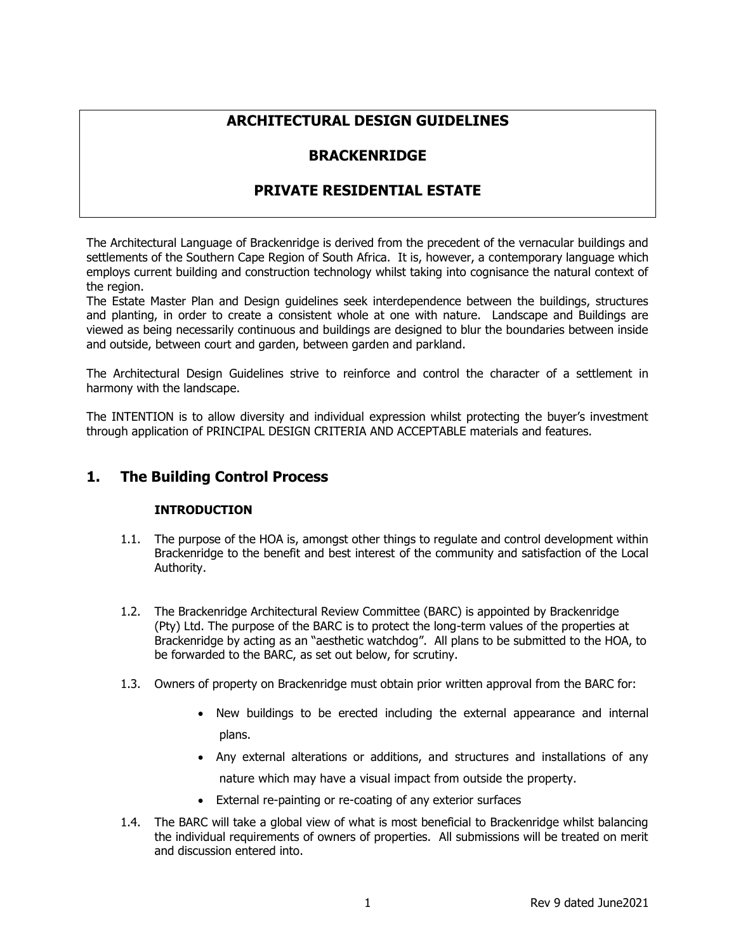# **ARCHITECTURAL DESIGN GUIDELINES**

# **BRACKENRIDGE**

# **PRIVATE RESIDENTIAL ESTATE**

The Architectural Language of Brackenridge is derived from the precedent of the vernacular buildings and settlements of the Southern Cape Region of South Africa. It is, however, a contemporary language which employs current building and construction technology whilst taking into cognisance the natural context of the region.

The Estate Master Plan and Design guidelines seek interdependence between the buildings, structures and planting, in order to create a consistent whole at one with nature. Landscape and Buildings are viewed as being necessarily continuous and buildings are designed to blur the boundaries between inside and outside, between court and garden, between garden and parkland.

The Architectural Design Guidelines strive to reinforce and control the character of a settlement in harmony with the landscape.

The INTENTION is to allow diversity and individual expression whilst protecting the buyer's investment through application of PRINCIPAL DESIGN CRITERIA AND ACCEPTABLE materials and features.

# **1. The Building Control Process**

# **INTRODUCTION**

- 1.1. The purpose of the HOA is, amongst other things to regulate and control development within Brackenridge to the benefit and best interest of the community and satisfaction of the Local Authority.
- 1.2. The Brackenridge Architectural Review Committee (BARC) is appointed by Brackenridge (Pty) Ltd. The purpose of the BARC is to protect the long-term values of the properties at Brackenridge by acting as an "aesthetic watchdog". All plans to be submitted to the HOA, to be forwarded to the BARC, as set out below, for scrutiny.
- 1.3. Owners of property on Brackenridge must obtain prior written approval from the BARC for:
	- New buildings to be erected including the external appearance and internal plans.
	- Any external alterations or additions, and structures and installations of any nature which may have a visual impact from outside the property.
	- External re-painting or re-coating of any exterior surfaces
- 1.4. The BARC will take a global view of what is most beneficial to Brackenridge whilst balancing the individual requirements of owners of properties. All submissions will be treated on merit and discussion entered into.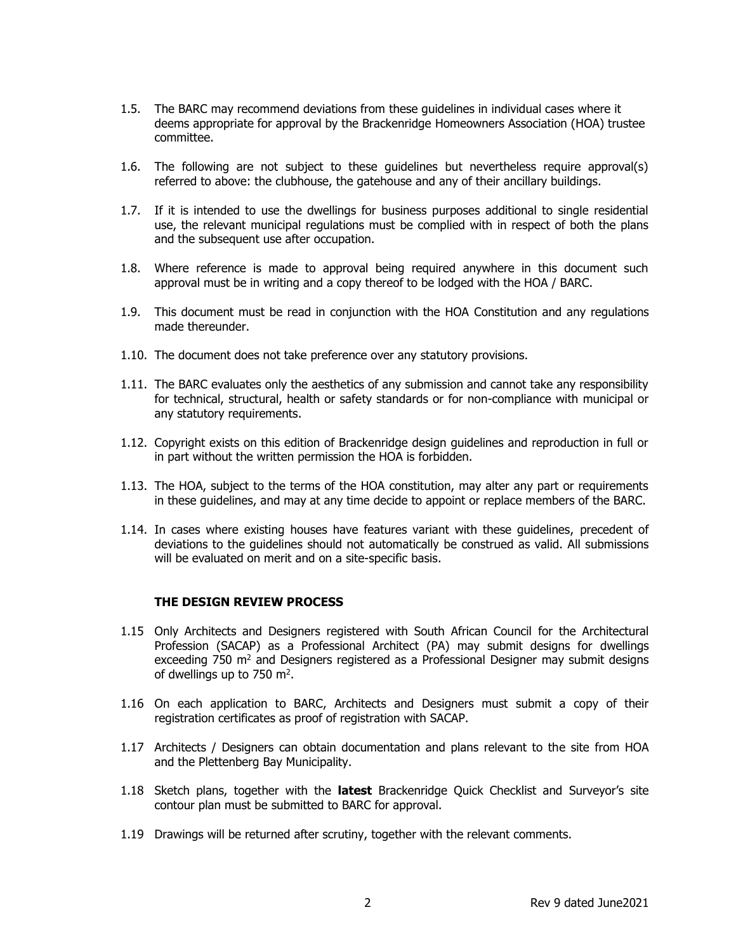- 1.5. The BARC may recommend deviations from these guidelines in individual cases where it deems appropriate for approval by the Brackenridge Homeowners Association (HOA) trustee committee.
- 1.6. The following are not subject to these guidelines but nevertheless require approval(s) referred to above: the clubhouse, the gatehouse and any of their ancillary buildings.
- 1.7. If it is intended to use the dwellings for business purposes additional to single residential use, the relevant municipal regulations must be complied with in respect of both the plans and the subsequent use after occupation.
- 1.8. Where reference is made to approval being required anywhere in this document such approval must be in writing and a copy thereof to be lodged with the HOA / BARC.
- 1.9. This document must be read in conjunction with the HOA Constitution and any regulations made thereunder.
- 1.10. The document does not take preference over any statutory provisions.
- 1.11. The BARC evaluates only the aesthetics of any submission and cannot take any responsibility for technical, structural, health or safety standards or for non-compliance with municipal or any statutory requirements.
- 1.12. Copyright exists on this edition of Brackenridge design guidelines and reproduction in full or in part without the written permission the HOA is forbidden.
- 1.13. The HOA, subject to the terms of the HOA constitution, may alter any part or requirements in these guidelines, and may at any time decide to appoint or replace members of the BARC.
- 1.14. In cases where existing houses have features variant with these guidelines, precedent of deviations to the guidelines should not automatically be construed as valid. All submissions will be evaluated on merit and on a site-specific basis.

#### **THE DESIGN REVIEW PROCESS**

- 1.15 Only Architects and Designers registered with South African Council for the Architectural Profession (SACAP) as a Professional Architect (PA) may submit designs for dwellings exceeding 750  $m<sup>2</sup>$  and Designers registered as a Professional Designer may submit designs of dwellings up to 750  $m^2$ .
- 1.16 On each application to BARC, Architects and Designers must submit a copy of their registration certificates as proof of registration with SACAP.
- 1.17 Architects / Designers can obtain documentation and plans relevant to the site from HOA and the Plettenberg Bay Municipality.
- 1.18 Sketch plans, together with the **latest** Brackenridge Quick Checklist and Surveyor's site contour plan must be submitted to BARC for approval.
- 1.19 Drawings will be returned after scrutiny, together with the relevant comments.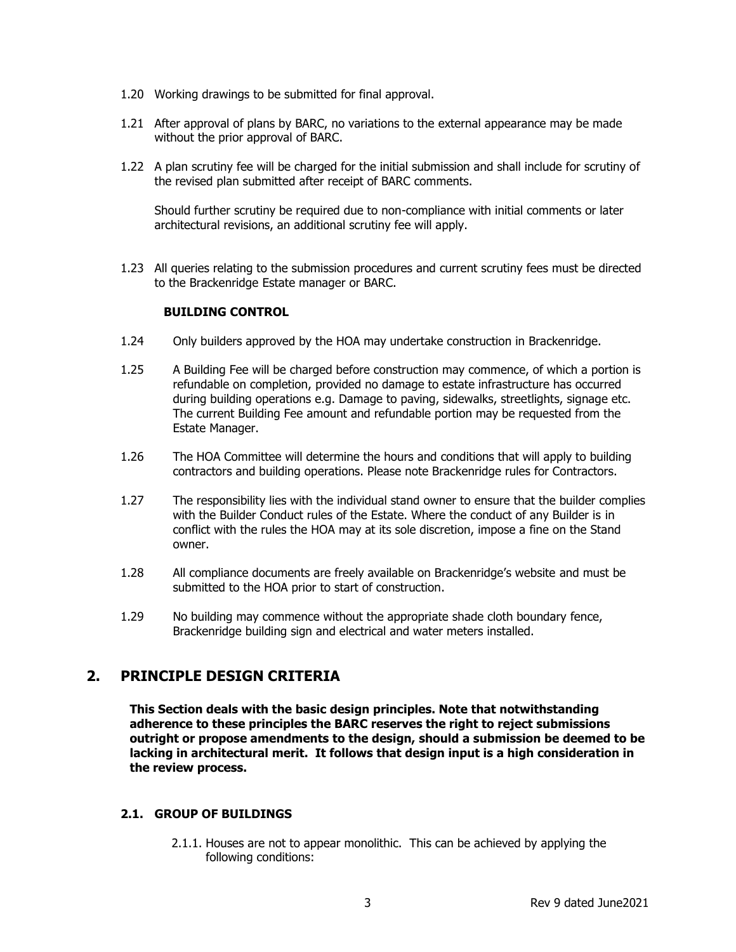- 1.20 Working drawings to be submitted for final approval.
- 1.21 After approval of plans by BARC, no variations to the external appearance may be made without the prior approval of BARC.
- 1.22 A plan scrutiny fee will be charged for the initial submission and shall include for scrutiny of the revised plan submitted after receipt of BARC comments.

Should further scrutiny be required due to non-compliance with initial comments or later architectural revisions, an additional scrutiny fee will apply.

1.23 All queries relating to the submission procedures and current scrutiny fees must be directed to the Brackenridge Estate manager or BARC.

## **BUILDING CONTROL**

- 1.24 Only builders approved by the HOA may undertake construction in Brackenridge.
- 1.25 A Building Fee will be charged before construction may commence, of which a portion is refundable on completion, provided no damage to estate infrastructure has occurred during building operations e.g. Damage to paving, sidewalks, streetlights, signage etc. The current Building Fee amount and refundable portion may be requested from the Estate Manager.
- 1.26 The HOA Committee will determine the hours and conditions that will apply to building contractors and building operations. Please note Brackenridge rules for Contractors.
- 1.27 The responsibility lies with the individual stand owner to ensure that the builder complies with the Builder Conduct rules of the Estate. Where the conduct of any Builder is in conflict with the rules the HOA may at its sole discretion, impose a fine on the Stand owner.
- 1.28 All compliance documents are freely available on Brackenridge's website and must be submitted to the HOA prior to start of construction.
- 1.29 No building may commence without the appropriate shade cloth boundary fence, Brackenridge building sign and electrical and water meters installed.

# **2. PRINCIPLE DESIGN CRITERIA**

**This Section deals with the basic design principles. Note that notwithstanding adherence to these principles the BARC reserves the right to reject submissions outright or propose amendments to the design, should a submission be deemed to be lacking in architectural merit. It follows that design input is a high consideration in the review process.** 

# **2.1. GROUP OF BUILDINGS**

2.1.1. Houses are not to appear monolithic. This can be achieved by applying the following conditions: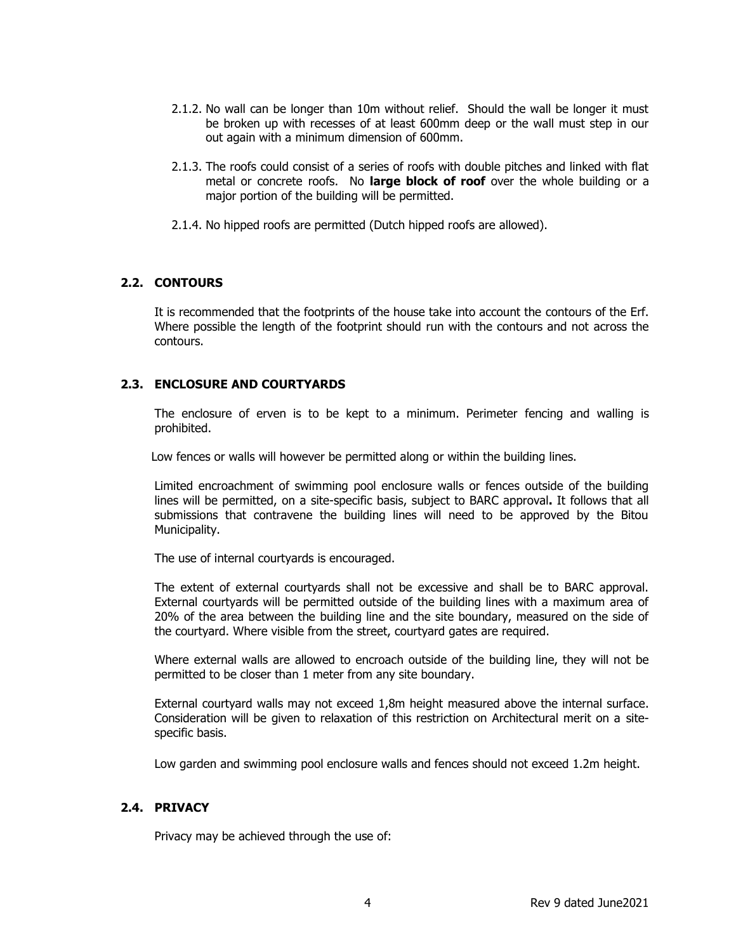- 2.1.2. No wall can be longer than 10m without relief. Should the wall be longer it must be broken up with recesses of at least 600mm deep or the wall must step in our out again with a minimum dimension of 600mm.
- 2.1.3. The roofs could consist of a series of roofs with double pitches and linked with flat metal or concrete roofs. No **large block of roof** over the whole building or a major portion of the building will be permitted.
- 2.1.4. No hipped roofs are permitted (Dutch hipped roofs are allowed).

# **2.2. CONTOURS**

It is recommended that the footprints of the house take into account the contours of the Erf. Where possible the length of the footprint should run with the contours and not across the contours.

# **2.3. ENCLOSURE AND COURTYARDS**

The enclosure of erven is to be kept to a minimum. Perimeter fencing and walling is prohibited.

Low fences or walls will however be permitted along or within the building lines.

Limited encroachment of swimming pool enclosure walls or fences outside of the building lines will be permitted, on a site-specific basis, subject to BARC approval**.** It follows that all submissions that contravene the building lines will need to be approved by the Bitou Municipality.

The use of internal courtyards is encouraged.

The extent of external courtyards shall not be excessive and shall be to BARC approval. External courtyards will be permitted outside of the building lines with a maximum area of 20% of the area between the building line and the site boundary, measured on the side of the courtyard. Where visible from the street, courtyard gates are required.

Where external walls are allowed to encroach outside of the building line, they will not be permitted to be closer than 1 meter from any site boundary.

External courtyard walls may not exceed 1,8m height measured above the internal surface. Consideration will be given to relaxation of this restriction on Architectural merit on a sitespecific basis.

Low garden and swimming pool enclosure walls and fences should not exceed 1.2m height.

# **2.4. PRIVACY**

Privacy may be achieved through the use of: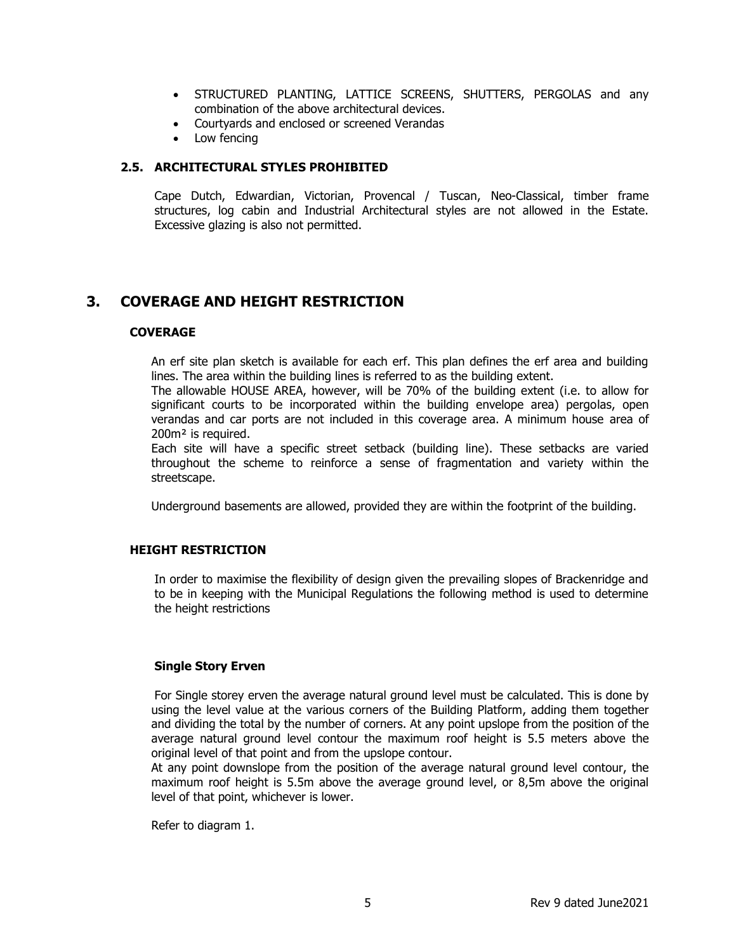- STRUCTURED PLANTING, LATTICE SCREENS, SHUTTERS, PERGOLAS and any combination of the above architectural devices.
- Courtyards and enclosed or screened Verandas
- Low fencing

## **2.5. ARCHITECTURAL STYLES PROHIBITED**

Cape Dutch, Edwardian, Victorian, Provencal / Tuscan, Neo-Classical, timber frame structures, log cabin and Industrial Architectural styles are not allowed in the Estate. Excessive glazing is also not permitted.

# **3. COVERAGE AND HEIGHT RESTRICTION**

## **COVERAGE**

An erf site plan sketch is available for each erf. This plan defines the erf area and building lines. The area within the building lines is referred to as the building extent.

The allowable HOUSE AREA, however, will be 70% of the building extent (i.e. to allow for significant courts to be incorporated within the building envelope area) pergolas, open verandas and car ports are not included in this coverage area. A minimum house area of 200m² is required.

Each site will have a specific street setback (building line). These setbacks are varied throughout the scheme to reinforce a sense of fragmentation and variety within the streetscape.

Underground basements are allowed, provided they are within the footprint of the building.

#### **HEIGHT RESTRICTION**

In order to maximise the flexibility of design given the prevailing slopes of Brackenridge and to be in keeping with the Municipal Regulations the following method is used to determine the height restrictions

#### **Single Story Erven**

For Single storey erven the average natural ground level must be calculated. This is done by using the level value at the various corners of the Building Platform, adding them together and dividing the total by the number of corners. At any point upslope from the position of the average natural ground level contour the maximum roof height is 5.5 meters above the original level of that point and from the upslope contour.

At any point downslope from the position of the average natural ground level contour, the maximum roof height is 5.5m above the average ground level, or 8,5m above the original level of that point, whichever is lower.

Refer to diagram 1.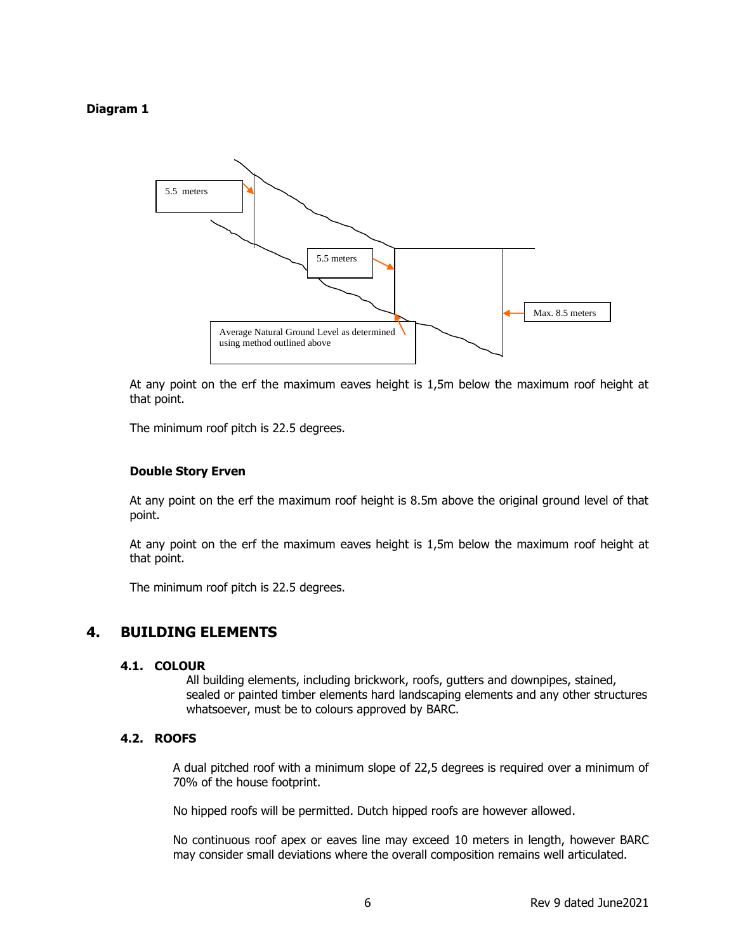# **Diagram 1**



At any point on the erf the maximum eaves height is 1,5m below the maximum roof height at that point.

The minimum roof pitch is 22.5 degrees.

#### **Double Story Erven**

At any point on the erf the maximum roof height is 8.5m above the original ground level of that point.

At any point on the erf the maximum eaves height is 1,5m below the maximum roof height at that point.

The minimum roof pitch is 22.5 degrees.

# **4. BUILDING ELEMENTS**

#### **4.1. COLOUR**

All building elements, including brickwork, roofs, gutters and downpipes, stained, sealed or painted timber elements hard landscaping elements and any other structures whatsoever, must be to colours approved by BARC.

#### **4.2. ROOFS**

A dual pitched roof with a minimum slope of 22,5 degrees is required over a minimum of 70% of the house footprint.

No hipped roofs will be permitted. Dutch hipped roofs are however allowed.

No continuous roof apex or eaves line may exceed 10 meters in length, however BARC may consider small deviations where the overall composition remains well articulated.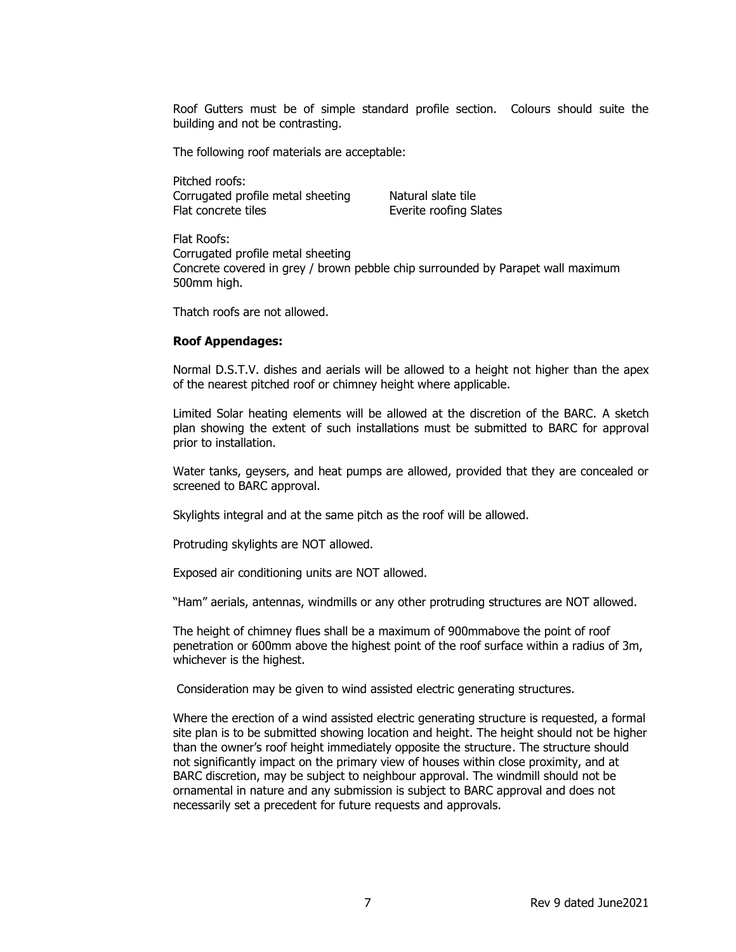Roof Gutters must be of simple standard profile section. Colours should suite the building and not be contrasting.

The following roof materials are acceptable:

Pitched roofs: Corrugated profile metal sheeting Natural slate tile Flat concrete tiles Everite roofing Slates

Flat Roofs: Corrugated profile metal sheeting Concrete covered in grey / brown pebble chip surrounded by Parapet wall maximum 500mm high.

Thatch roofs are not allowed.

#### **Roof Appendages:**

Normal D.S.T.V. dishes and aerials will be allowed to a height not higher than the apex of the nearest pitched roof or chimney height where applicable.

Limited Solar heating elements will be allowed at the discretion of the BARC. A sketch plan showing the extent of such installations must be submitted to BARC for approval prior to installation.

Water tanks, geysers, and heat pumps are allowed, provided that they are concealed or screened to BARC approval.

Skylights integral and at the same pitch as the roof will be allowed.

Protruding skylights are NOT allowed.

Exposed air conditioning units are NOT allowed.

"Ham" aerials, antennas, windmills or any other protruding structures are NOT allowed.

The height of chimney flues shall be a maximum of 900mmabove the point of roof penetration or 600mm above the highest point of the roof surface within a radius of 3m, whichever is the highest.

Consideration may be given to wind assisted electric generating structures.

Where the erection of a wind assisted electric generating structure is requested, a formal site plan is to be submitted showing location and height. The height should not be higher than the owner's roof height immediately opposite the structure. The structure should not significantly impact on the primary view of houses within close proximity, and at BARC discretion, may be subject to neighbour approval. The windmill should not be ornamental in nature and any submission is subject to BARC approval and does not necessarily set a precedent for future requests and approvals.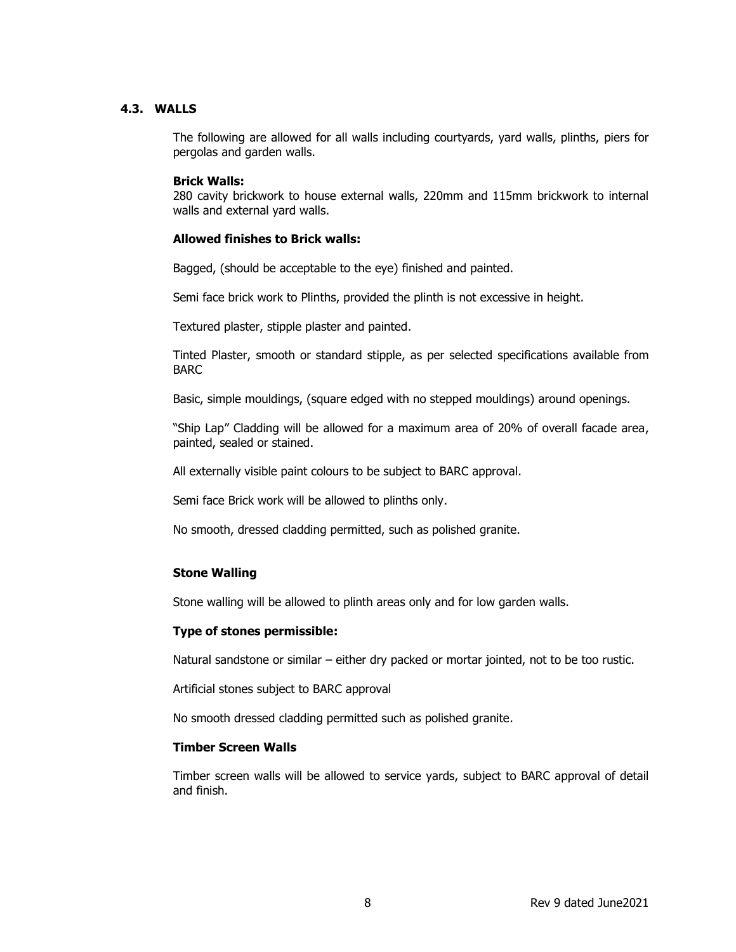## **4.3. WALLS**

The following are allowed for all walls including courtyards, yard walls, plinths, piers for pergolas and garden walls.

#### **Brick Walls:**

280 cavity brickwork to house external walls, 220mm and 115mm brickwork to internal walls and external yard walls.

## **Allowed finishes to Brick walls:**

Bagged, (should be acceptable to the eye) finished and painted.

Semi face brick work to Plinths, provided the plinth is not excessive in height.

Textured plaster, stipple plaster and painted.

Tinted Plaster, smooth or standard stipple, as per selected specifications available from **BARC** 

Basic, simple mouldings, (square edged with no stepped mouldings) around openings.

"Ship Lap" Cladding will be allowed for a maximum area of 20% of overall facade area, painted, sealed or stained.

All externally visible paint colours to be subject to BARC approval.

Semi face Brick work will be allowed to plinths only.

No smooth, dressed cladding permitted, such as polished granite.

#### **Stone Walling**

Stone walling will be allowed to plinth areas only and for low garden walls.

#### **Type of stones permissible:**

Natural sandstone or similar – either dry packed or mortar jointed, not to be too rustic.

Artificial stones subject to BARC approval

No smooth dressed cladding permitted such as polished granite.

#### **Timber Screen Walls**

Timber screen walls will be allowed to service yards, subject to BARC approval of detail and finish.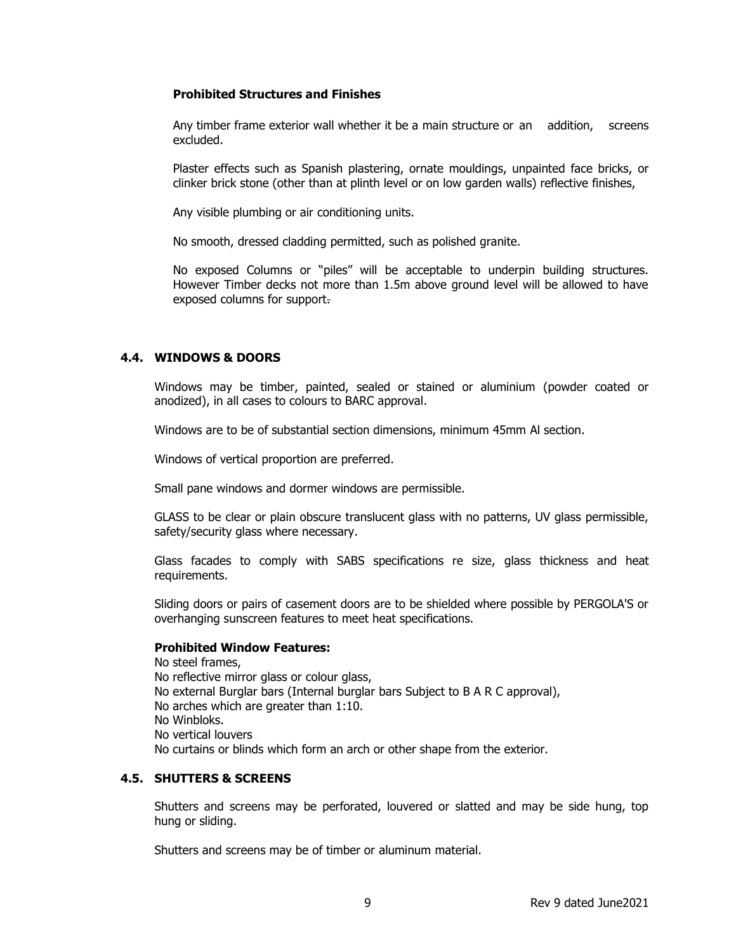## **Prohibited Structures and Finishes**

Any timber frame exterior wall whether it be a main structure or an addition, screens excluded.

Plaster effects such as Spanish plastering, ornate mouldings, unpainted face bricks, or clinker brick stone (other than at plinth level or on low garden walls) reflective finishes,

Any visible plumbing or air conditioning units.

No smooth, dressed cladding permitted, such as polished granite.

No exposed Columns or "piles" will be acceptable to underpin building structures. However Timber decks not more than 1.5m above ground level will be allowed to have exposed columns for support.

# **4.4. WINDOWS & DOORS**

Windows may be timber, painted, sealed or stained or aluminium (powder coated or anodized), in all cases to colours to BARC approval.

Windows are to be of substantial section dimensions, minimum 45mm Al section.

Windows of vertical proportion are preferred.

Small pane windows and dormer windows are permissible.

GLASS to be clear or plain obscure translucent glass with no patterns, UV glass permissible, safety/security glass where necessary.

Glass facades to comply with SABS specifications re size, glass thickness and heat requirements.

Sliding doors or pairs of casement doors are to be shielded where possible by PERGOLA'S or overhanging sunscreen features to meet heat specifications.

# **Prohibited Window Features:**

No steel frames, No reflective mirror glass or colour glass, No external Burglar bars (Internal burglar bars Subject to B A R C approval), No arches which are greater than 1:10. No Winbloks. No vertical louvers No curtains or blinds which form an arch or other shape from the exterior.

# **4.5. SHUTTERS & SCREENS**

Shutters and screens may be perforated, louvered or slatted and may be side hung, top hung or sliding.

Shutters and screens may be of timber or aluminum material.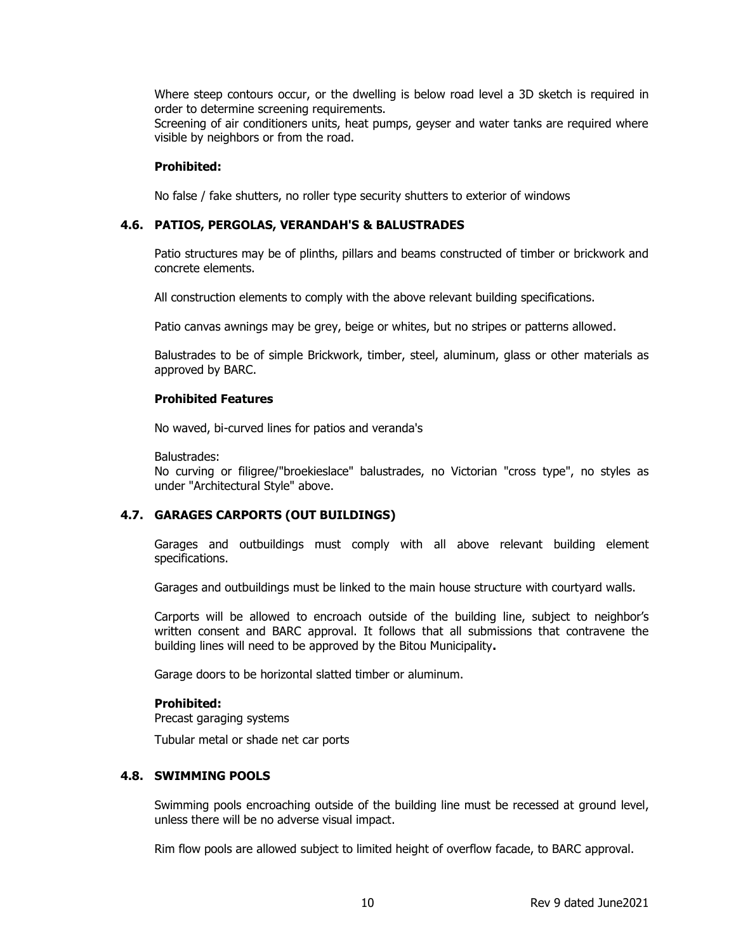Where steep contours occur, or the dwelling is below road level a 3D sketch is required in order to determine screening requirements.

Screening of air conditioners units, heat pumps, geyser and water tanks are required where visible by neighbors or from the road.

#### **Prohibited:**

No false / fake shutters, no roller type security shutters to exterior of windows

#### **4.6. PATIOS, PERGOLAS, VERANDAH'S & BALUSTRADES**

Patio structures may be of plinths, pillars and beams constructed of timber or brickwork and concrete elements.

All construction elements to comply with the above relevant building specifications.

Patio canvas awnings may be grey, beige or whites, but no stripes or patterns allowed.

Balustrades to be of simple Brickwork, timber, steel, aluminum, glass or other materials as approved by BARC.

#### **Prohibited Features**

No waved, bi-curved lines for patios and veranda's

Balustrades:

No curving or filigree/"broekieslace" balustrades, no Victorian "cross type", no styles as under "Architectural Style" above.

#### **4.7. GARAGES CARPORTS (OUT BUILDINGS)**

Garages and outbuildings must comply with all above relevant building element specifications.

Garages and outbuildings must be linked to the main house structure with courtyard walls.

Carports will be allowed to encroach outside of the building line, subject to neighbor's written consent and BARC approval. It follows that all submissions that contravene the building lines will need to be approved by the Bitou Municipality**.**

Garage doors to be horizontal slatted timber or aluminum.

#### **Prohibited:**

Precast garaging systems

Tubular metal or shade net car ports

# **4.8. SWIMMING POOLS**

Swimming pools encroaching outside of the building line must be recessed at ground level, unless there will be no adverse visual impact.

Rim flow pools are allowed subject to limited height of overflow facade, to BARC approval.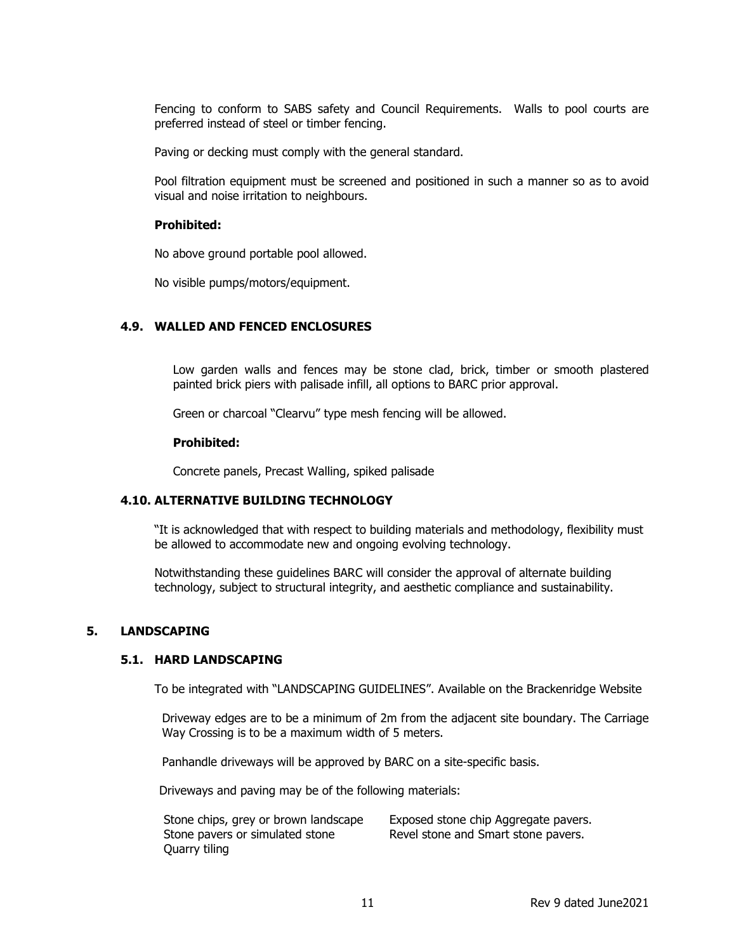Fencing to conform to SABS safety and Council Requirements. Walls to pool courts are preferred instead of steel or timber fencing.

Paving or decking must comply with the general standard.

Pool filtration equipment must be screened and positioned in such a manner so as to avoid visual and noise irritation to neighbours.

#### **Prohibited:**

No above ground portable pool allowed.

No visible pumps/motors/equipment.

## **4.9. WALLED AND FENCED ENCLOSURES**

Low garden walls and fences may be stone clad, brick, timber or smooth plastered painted brick piers with palisade infill, all options to BARC prior approval.

Green or charcoal "Clearvu" type mesh fencing will be allowed.

#### **Prohibited:**

Concrete panels, Precast Walling, spiked palisade

## **4.10. ALTERNATIVE BUILDING TECHNOLOGY**

"It is acknowledged that with respect to building materials and methodology, flexibility must be allowed to accommodate new and ongoing evolving technology.

Notwithstanding these guidelines BARC will consider the approval of alternate building technology, subject to structural integrity, and aesthetic compliance and sustainability.

#### **5. LANDSCAPING**

#### **5.1. HARD LANDSCAPING**

To be integrated with "LANDSCAPING GUIDELINES". Available on the Brackenridge Website

Driveway edges are to be a minimum of 2m from the adjacent site boundary. The Carriage Way Crossing is to be a maximum width of 5 meters.

Panhandle driveways will be approved by BARC on a site-specific basis.

Driveways and paving may be of the following materials:

| Stone chips, grey or brown landscape | Exposed stone chip Aggregate pavers. |
|--------------------------------------|--------------------------------------|
| Stone pavers or simulated stone      | Revel stone and Smart stone pavers.  |
| Quarry tiling                        |                                      |